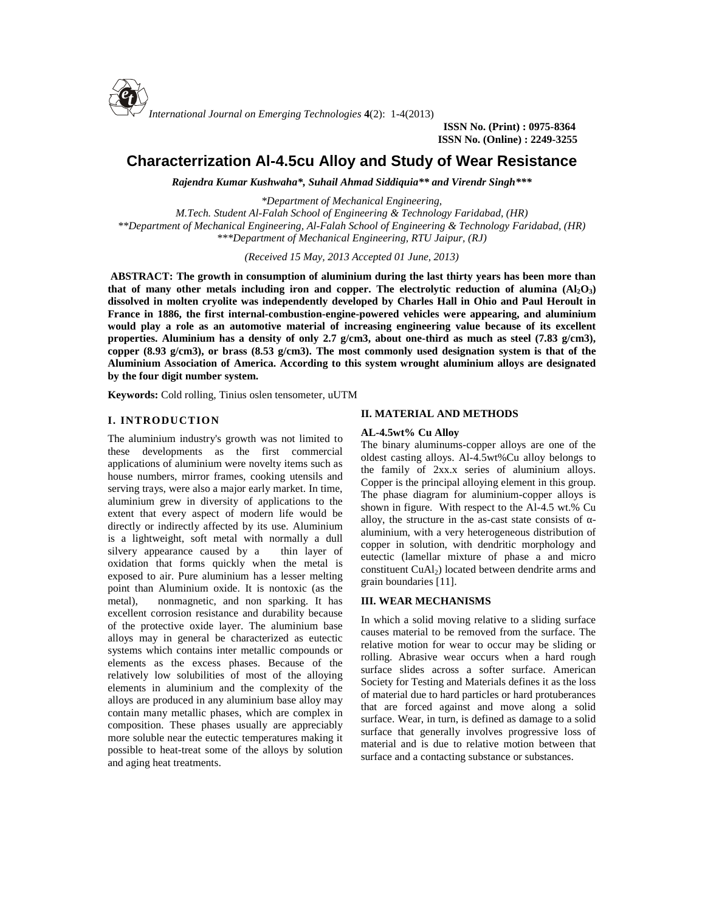

**ISSN No. (Print) : 0975-8364 ISSN No. (Online) : 2249-3255**

# **Characterrization Al-4.5cu Alloy and Study of Wear Resistance**

*Rajendra Kumar Kushwaha\*, Suhail Ahmad Siddiquia\*\* and Virendr Singh\*\*\**

*\*Department of Mechanical Engineering, M.Tech. Student Al-Falah School of Engineering & Technology Faridabad, (HR) \*\*Department of Mechanical Engineering, Al-Falah School of Engineering & Technology Faridabad, (HR) \*\*\*Department of Mechanical Engineering, RTU Jaipur, (RJ)*

*(Received 15 May, 2013 Accepted 01 June, 2013)*

**ABSTRACT: The growth in consumption of aluminium during the last thirty years has been more than that of many other metals including iron and copper. The electrolytic reduction of alumina**  $(A_1Q_3)$ **dissolved in molten cryolite was independently developed by Charles Hall in Ohio and Paul Heroult in France in 1886, the first internal-combustion-engine-powered vehicles were appearing, and aluminium would play a role as an automotive material of increasing engineering value because of its excellent properties. Aluminium has a density of only 2.7 g/cm3, about one-third as much as steel (7.83 g/cm3), copper (8.93 g/cm3), or brass (8.53 g/cm3). The most commonly used designation system is that of the Aluminium Association of America. According to this system wrought aluminium alloys are designated by the four digit number system.**

**Keywords:** Cold rolling, Tinius oslen tensometer, uUTM

# **I. INTRODUCTION**

The aluminium industry's growth was not limited to these developments as the first commercial applications of aluminium were novelty items such as house numbers, mirror frames, cooking utensils and serving trays, were also a major early market. In time, aluminium grew in diversity of applications to the extent that every aspect of modern life would be directly or indirectly affected by its use. Aluminium is a lightweight, soft metal with normally a dull silvery appearance caused by a thin layer of oxidation that forms quickly when the metal is exposed to air. Pure aluminium has a lesser melting point than Aluminium oxide. It is nontoxic (as the metal), nonmagnetic, and non sparking. It has excellent corrosion resistance and durability because of the protective oxide layer. The aluminium base alloys may in general be characterized as eutectic systems which contains inter metallic compounds or elements as the excess phases. Because of the relatively low solubilities of most of the alloying elements in aluminium and the complexity of the alloys are produced in any aluminium base alloy may contain many metallic phases, which are complex in composition. These phases usually are appreciably more soluble near the eutectic temperatures making it possible to heat-treat some of the alloys by solution and aging heat treatments.

### **II. MATERIAL AND METHODS**

#### **AL-4.5wt% Cu Alloy**

The binary aluminums-copper alloys are one of the oldest casting alloys. Al-4.5wt%Cu alloy belongs to the family of 2xx.x series of aluminium alloys. Copper is the principal alloying element in this group. The phase diagram for aluminium-copper alloys is shown in figure. With respect to the Al-4.5 wt.% Cu alloy, the structure in the as-cast state consists of aluminium, with a very heterogeneous distribution of copper in solution, with dendritic morphology and eutectic (lamellar mixture of phase a and micro constituent CuAl<sub>2</sub>) located between dendrite arms and grain boundaries [11].

## **III. WEAR MECHANISMS**

In which a solid moving relative to a sliding surface causes material to be removed from the surface. The relative motion for wear to occur may be sliding or rolling. Abrasive wear occurs when a hard rough surface slides across a softer surface. American Society for Testing and Materials defines it as the loss of material due to hard particles or hard protuberances that are forced against and move along a solid surface. Wear, in turn, is defined as damage to a solid surface that generally involves progressive loss of material and is due to relative motion between that surface and a contacting substance or substances.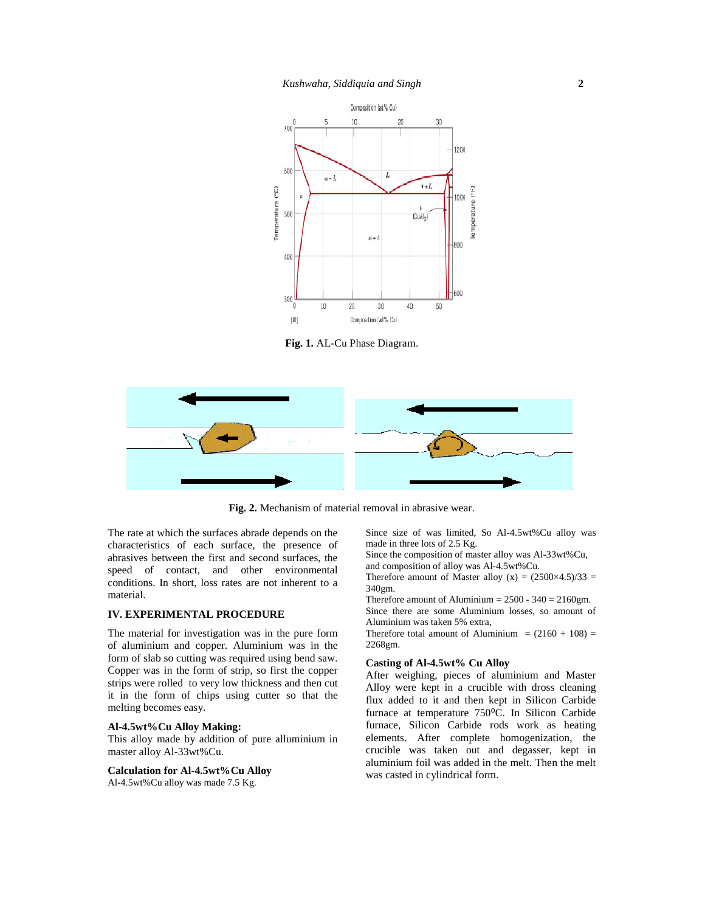

**Fig. 1.** AL-Cu Phase Diagram.



**Fig. 2.** Mechanism of material removal in abrasive wear.

The rate at which the surfaces abrade depends on the characteristics of each surface, the presence of abrasives between the first and second surfaces, the speed of contact, and other environmental conditions. In short, loss rates are not inherent to a material.

# **IV. EXPERIMENTAL PROCEDURE**

The material for investigation was in the pure form of aluminium and copper. Aluminium was in the form of slab so cutting was required using bend saw. Copper was in the form of strip, so first the copper strips were rolled to very low thickness and then cut it in the form of chips using cutter so that the melting becomes easy.

## **Al-4.5wt%Cu Alloy Making:**

This alloy made by addition of pure alluminium in master alloy Al-33wt%Cu.

**Calculation for Al-4.5wt%Cu Alloy** Al-4.5wt%Cu alloy was made 7.5 Kg.

Since size of was limited, So Al-4.5wt%Cu alloy was made in three lots of 2.5 Kg.

Since the composition of master alloy was Al-33wt%Cu, and composition of alloy was Al-4.5wt%Cu.

Therefore amount of Master alloy  $(x) = (2500 \times 4.5)/33 =$ 340gm.

Therefore amount of Aluminium  $= 2500 - 340 = 2160$ gm. Since there are some Aluminium losses, so amount of Aluminium was taken 5% extra,

Therefore total amount of Aluminium =  $(2160 + 108)$  = 2268gm.

#### **Casting of Al-4.5wt% Cu Alloy**

After weighing, pieces of aluminium and Master Alloy were kept in a crucible with dross cleaning flux added to it and then kept in Silicon Carbide furnace at temperature 750 C. In Silicon Carbide furnace, Silicon Carbide rods work as heating elements. After complete homogenization, the crucible was taken out and degasser, kept in aluminium foil was added in the melt. Then the melt was casted in cylindrical form.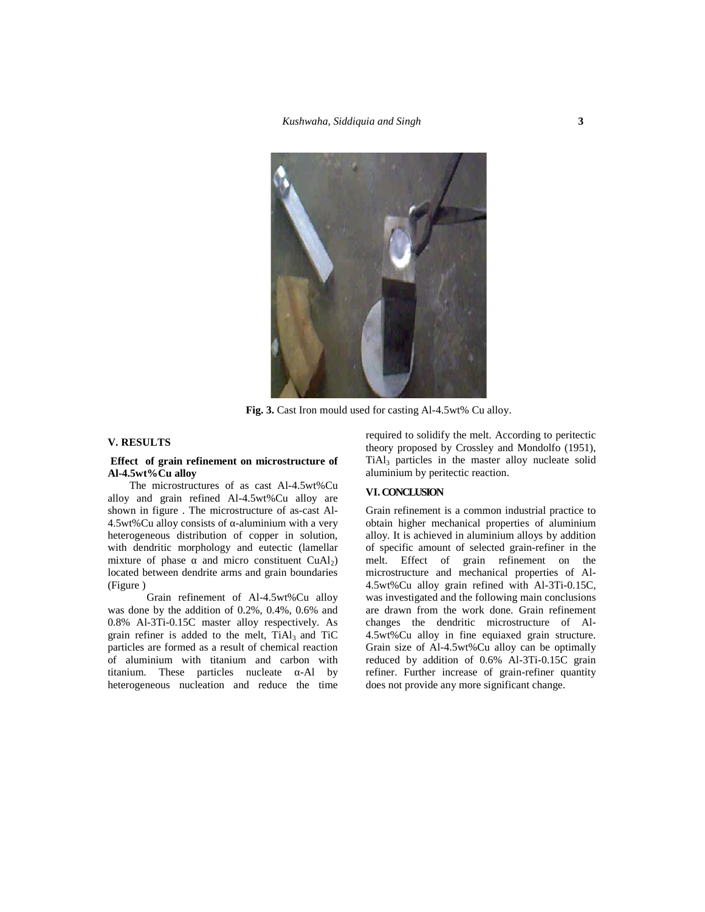

**Fig. 3.** Cast Iron mould used for casting Al-4.5wt% Cu alloy.

# **V. RESULTS**

### **Effect of grain refinement on microstructure of Al-4.5wt%Cu alloy**

The microstructures of as cast Al-4.5wt%Cu alloy and grain refined Al-4.5wt%Cu alloy are shown in figure . The microstructure of as-cast Al- 4.5wt%Cu alloy consists of -aluminium with a very heterogeneous distribution of copper in solution, with dendritic morphology and eutectic (lamellar mixture of phase and micro constituent  $CuAl<sub>2</sub>$ ) located between dendrite arms and grain boundaries (Figure )

Grain refinement of Al-4.5wt%Cu alloy was done by the addition of 0.2%, 0.4%, 0.6% and 0.8% Al-3Ti-0.15C master alloy respectively. As grain refiner is added to the melt,  $TiAl<sub>3</sub>$  and  $TiC$ particles are formed as a result of chemical reaction of aluminium with titanium and carbon with titanium. These particles nucleate -Al by heterogeneous nucleation and reduce the time

required to solidify the melt. According to peritectic theory proposed by Crossley and Mondolfo (1951), TiAl<sup>3</sup> particles in the master alloy nucleate solid aluminium by peritectic reaction.

# **VI. CONCLUSION**

Grain refinement is a common industrial practice to obtain higher mechanical properties of aluminium alloy. It is achieved in aluminium alloys by addition of specific amount of selected grain-refiner in the melt. Effect of grain refinement on the microstructure and mechanical properties of Al- 4.5wt%Cu alloy grain refined with Al-3Ti-0.15C, was investigated and the following main conclusions are drawn from the work done. Grain refinement changes the dendritic microstructure of Al- 4.5wt%Cu alloy in fine equiaxed grain structure. Grain size of Al-4.5wt%Cu alloy can be optimally reduced by addition of 0.6% Al-3Ti-0.15C grain refiner. Further increase of grain-refiner quantity does not provide any more significant change.